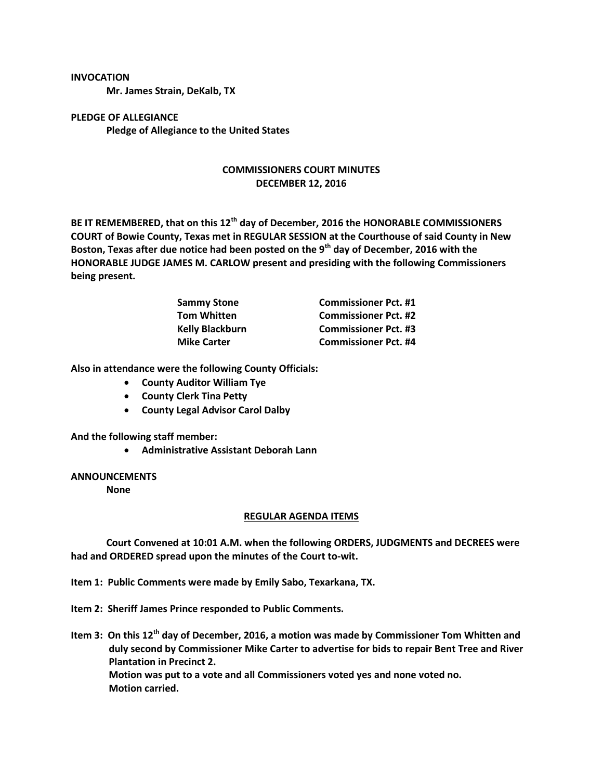## **INVOCATION**

**Mr. James Strain, DeKalb, TX**

**PLEDGE OF ALLEGIANCE Pledge of Allegiance to the United States**

## **COMMISSIONERS COURT MINUTES DECEMBER 12, 2016**

**BE IT REMEMBERED, that on this 12th day of December, 2016 the HONORABLE COMMISSIONERS COURT of Bowie County, Texas met in REGULAR SESSION at the Courthouse of said County in New Boston, Texas after due notice had been posted on the 9th day of December, 2016 with the HONORABLE JUDGE JAMES M. CARLOW present and presiding with the following Commissioners being present.**

| <b>Sammy Stone</b>     | <b>Commissioner Pct. #1</b> |
|------------------------|-----------------------------|
| <b>Tom Whitten</b>     | <b>Commissioner Pct. #2</b> |
| <b>Kelly Blackburn</b> | <b>Commissioner Pct. #3</b> |
| <b>Mike Carter</b>     | <b>Commissioner Pct. #4</b> |

**Also in attendance were the following County Officials:**

- **County Auditor William Tye**
- **County Clerk Tina Petty**
- **County Legal Advisor Carol Dalby**

**And the following staff member:**

**Administrative Assistant Deborah Lann**

## **ANNOUNCEMENTS**

**None**

## **REGULAR AGENDA ITEMS**

**Court Convened at 10:01 A.M. when the following ORDERS, JUDGMENTS and DECREES were had and ORDERED spread upon the minutes of the Court to-wit.**

**Item 1: Public Comments were made by Emily Sabo, Texarkana, TX.**

**Item 2: Sheriff James Prince responded to Public Comments.**

**Item 3: On this 12th day of December, 2016, a motion was made by Commissioner Tom Whitten and duly second by Commissioner Mike Carter to advertise for bids to repair Bent Tree and River Plantation in Precinct 2. Motion was put to a vote and all Commissioners voted yes and none voted no. Motion carried.**